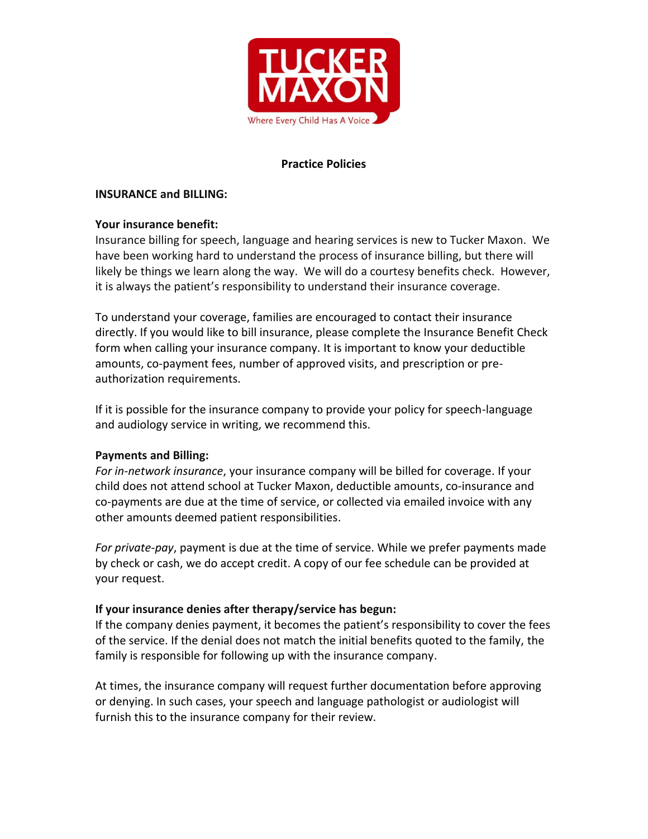

# **Practice Policies**

### **INSURANCE and BILLING:**

# **Your insurance benefit:**

Insurance billing for speech, language and hearing services is new to Tucker Maxon. We have been working hard to understand the process of insurance billing, but there will likely be things we learn along the way. We will do a courtesy benefits check. However, it is always the patient's responsibility to understand their insurance coverage.

To understand your coverage, families are encouraged to contact their insurance directly. If you would like to bill insurance, please complete the Insurance Benefit Check form when calling your insurance company. It is important to know your deductible amounts, co-payment fees, number of approved visits, and prescription or preauthorization requirements.

If it is possible for the insurance company to provide your policy for speech-language and audiology service in writing, we recommend this.

# **Payments and Billing:**

*For in-network insurance*, your insurance company will be billed for coverage. If your child does not attend school at Tucker Maxon, deductible amounts, co-insurance and co-payments are due at the time of service, or collected via emailed invoice with any other amounts deemed patient responsibilities.

*For private-pay*, payment is due at the time of service. While we prefer payments made by check or cash, we do accept credit. A copy of our fee schedule can be provided at your request.

# **If your insurance denies after therapy/service has begun:**

If the company denies payment, it becomes the patient's responsibility to cover the fees of the service. If the denial does not match the initial benefits quoted to the family, the family is responsible for following up with the insurance company.

At times, the insurance company will request further documentation before approving or denying. In such cases, your speech and language pathologist or audiologist will furnish this to the insurance company for their review.